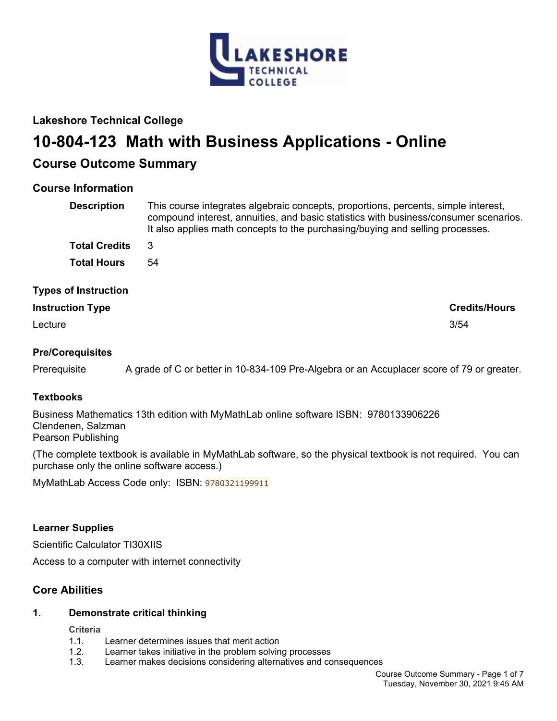

# **Lakeshore Technical College**

# **10-804-123 Math with Business Applications - Online**

# **Course Outcome Summary**

# **Course Information**

| <b>Description</b>          | This course integrates algebraic concepts, proportions, percents, simple interest,<br>compound interest, annuities, and basic statistics with business/consumer scenarios.<br>It also applies math concepts to the purchasing/buying and selling processes. |
|-----------------------------|-------------------------------------------------------------------------------------------------------------------------------------------------------------------------------------------------------------------------------------------------------------|
| <b>Total Credits</b>        | 3                                                                                                                                                                                                                                                           |
| <b>Total Hours</b>          | 54                                                                                                                                                                                                                                                          |
| <b>Types of Instruction</b> |                                                                                                                                                                                                                                                             |
| <b>Instruction Type</b>     | <b>Credits/Hours</b>                                                                                                                                                                                                                                        |

Lecture 3/54

# **Pre/Corequisites**

Prerequisite A grade of C or better in 10-834-109 Pre-Algebra or an Accuplacer score of 79 or greater.

# **Textbooks**

Business Mathematics 13th edition with MyMathLab online software ISBN: 9780133906226 Clendenen, Salzman Pearson Publishing

(The complete textbook is available in MyMathLab software, so the physical textbook is not required. You can purchase only the online software access.)

MyMathLab Access Code only: ISBN: 9780321199911

# **Learner Supplies**

Scientific Calculator TI30XIIS

Access to a computer with internet connectivity

# **Core Abilities**

# **1. Demonstrate critical thinking**

# **Criteria**

- 1.1. Learner determines issues that merit action
- 1.2. Learner takes initiative in the problem solving processes
- 1.3. Learner makes decisions considering alternatives and consequences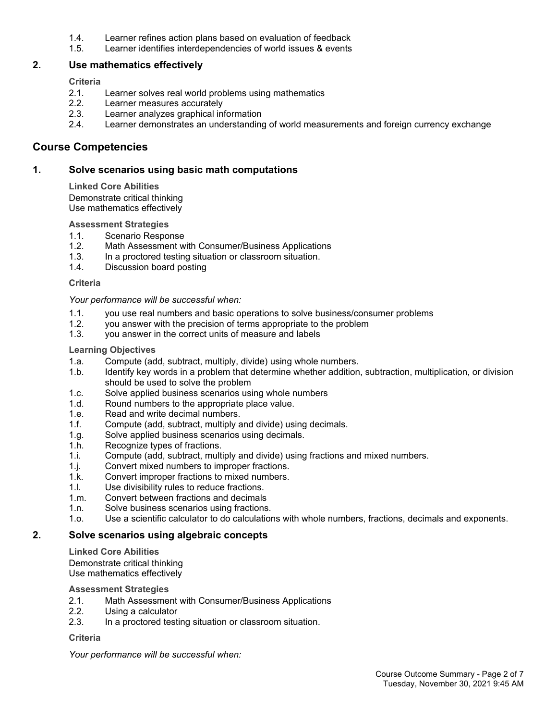- 1.4. Learner refines action plans based on evaluation of feedback
- 1.5. Learner identifies interdependencies of world issues & events

# **2. Use mathematics effectively**

**Criteria**

- 2.1. Learner solves real world problems using mathematics
- 2.2. Learner measures accurately
- 2.3. Learner analyzes graphical information
- 2.4. Learner demonstrates an understanding of world measurements and foreign currency exchange

# **Course Competencies**

## **1. Solve scenarios using basic math computations**

**Linked Core Abilities** Demonstrate critical thinking Use mathematics effectively

#### **Assessment Strategies**

- 1.1. Scenario Response
- 1.2. Math Assessment with Consumer/Business Applications
- 1.3. In a proctored testing situation or classroom situation.
- 1.4. Discussion board posting

#### **Criteria**

*Your performance will be successful when:*

- 1.1. you use real numbers and basic operations to solve business/consumer problems
- 1.2. you answer with the precision of terms appropriate to the problem
- 1.3. you answer in the correct units of measure and labels

#### **Learning Objectives**

- 1.a. Compute (add, subtract, multiply, divide) using whole numbers.
- 1.b. Identify key words in a problem that determine whether addition, subtraction, multiplication, or division should be used to solve the problem
- 1.c. Solve applied business scenarios using whole numbers
- 1.d. Round numbers to the appropriate place value.
- 1.e. Read and write decimal numbers.
- 1.f. Compute (add, subtract, multiply and divide) using decimals.
- 1.g. Solve applied business scenarios using decimals.
- 1.h. Recognize types of fractions.
- 1.i. Compute (add, subtract, multiply and divide) using fractions and mixed numbers.
- 1.j. Convert mixed numbers to improper fractions.
- 1.k. Convert improper fractions to mixed numbers.<br>1.l. Use divisibility rules to reduce fractions.
- Use divisibility rules to reduce fractions.
- 1.m. Convert between fractions and decimals
- 1.n. Solve business scenarios using fractions.
- 1.o. Use a scientific calculator to do calculations with whole numbers, fractions, decimals and exponents.

# **2. Solve scenarios using algebraic concepts**

**Linked Core Abilities**

Demonstrate critical thinking Use mathematics effectively

#### **Assessment Strategies**

- 2.1. Math Assessment with Consumer/Business Applications
- 2.2. Using a calculator
- 2.3. In a proctored testing situation or classroom situation.

#### **Criteria**

*Your performance will be successful when:*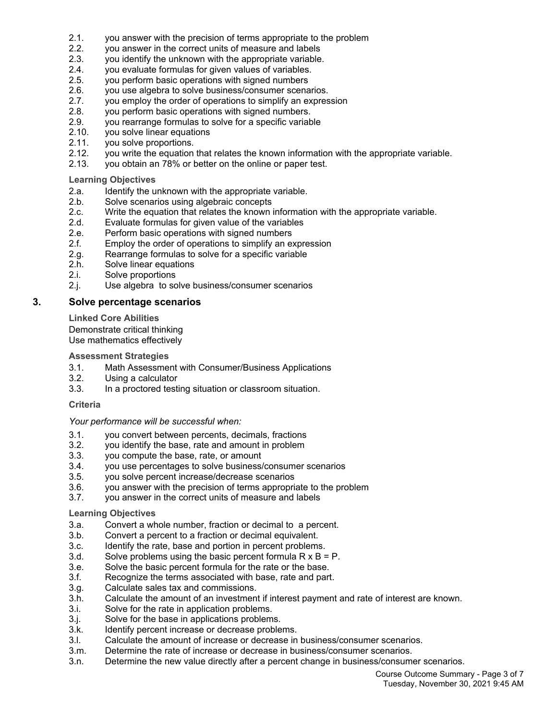- 2.1. you answer with the precision of terms appropriate to the problem
- 2.2. you answer in the correct units of measure and labels
- 2.3. you identify the unknown with the appropriate variable.
- 2.4. you evaluate formulas for given values of variables.
- 2.5. you perform basic operations with signed numbers<br>2.6. vou use algebra to solve business/consumer scena
- 2.6. you use algebra to solve business/consumer scenarios.<br>2.7. vou employ the order of operations to simplify an expres
- you employ the order of operations to simplify an expression
- 2.8. you perform basic operations with signed numbers.<br>2.9. vou rearrange formulas to solve for a specific variable
- you rearrange formulas to solve for a specific variable
- 2.10. vou solve linear equations
- 2.11. you solve proportions.
- 2.12. you write the equation that relates the known information with the appropriate variable.
- 2.13. you obtain an 78% or better on the online or paper test.

#### **Learning Objectives**

- 2.a. Identify the unknown with the appropriate variable.
- 2.b. Solve scenarios using algebraic concepts
- 2.c. Write the equation that relates the known information with the appropriate variable.
- 2.d. Evaluate formulas for given value of the variables
- 2.e. Perform basic operations with signed numbers
- 2.f. Employ the order of operations to simplify an expression
- 2.g. Rearrange formulas to solve for a specific variable
- 2.h. Solve linear equations
- 2.i. Solve proportions
- 2.j. Use algebra to solve business/consumer scenarios

# **3. Solve percentage scenarios**

**Linked Core Abilities**

Demonstrate critical thinking Use mathematics effectively

#### **Assessment Strategies**

- 3.1. Math Assessment with Consumer/Business Applications
- 3.2. Using a calculator
- 3.3. In a proctored testing situation or classroom situation.

#### **Criteria**

#### *Your performance will be successful when:*

- 3.1. you convert between percents, decimals, fractions
- 3.2. you identify the base, rate and amount in problem<br>3.3. you compute the base, rate, or amount
- you compute the base, rate, or amount
- 3.4. you use percentages to solve business/consumer scenarios
- 3.5. you solve percent increase/decrease scenarios
- 3.6. you answer with the precision of terms appropriate to the problem
- 3.7. you answer in the correct units of measure and labels

# **Learning Objectives**

- 3.a. Convert a whole number, fraction or decimal to a percent.
- 3.b. Convert a percent to a fraction or decimal equivalent.
- 3.c. Identify the rate, base and portion in percent problems.
- 3.d. Solve problems using the basic percent formula  $R \times B = P$ .
- 3.e. Solve the basic percent formula for the rate or the base.
- 3.f. Recognize the terms associated with base, rate and part.
- 3.g. Calculate sales tax and commissions.
- 3.h. Calculate the amount of an investment if interest payment and rate of interest are known.
- 3.i. Solve for the rate in application problems.
- 3.j. Solve for the base in applications problems.
- 3.k. Identify percent increase or decrease problems.
- 3.l. Calculate the amount of increase or decrease in business/consumer scenarios.
- 3.m. Determine the rate of increase or decrease in business/consumer scenarios.
- 3.n. Determine the new value directly after a percent change in business/consumer scenarios.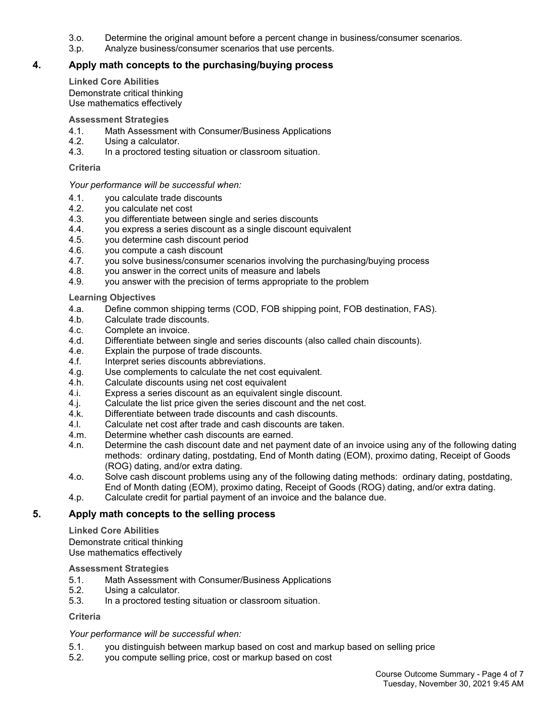- 3.o. Determine the original amount before a percent change in business/consumer scenarios.
- 3.p. Analyze business/consumer scenarios that use percents.

# **4. Apply math concepts to the purchasing/buying process**

#### **Linked Core Abilities**

Demonstrate critical thinking Use mathematics effectively

#### **Assessment Strategies**

- 4.1. Math Assessment with Consumer/Business Applications
- 4.2. Using a calculator.
- 4.3. In a proctored testing situation or classroom situation.

#### **Criteria**

#### *Your performance will be successful when:*

- 4.1. you calculate trade discounts
- 4.2. you calculate net cost
- 4.3. you differentiate between single and series discounts
- 4.4. you express a series discount as a single discount equivalent
- 4.5. you determine cash discount period
- 4.6. you compute a cash discount
- 4.7. you solve business/consumer scenarios involving the purchasing/buying process
- 4.8. you answer in the correct units of measure and labels
- 4.9. you answer with the precision of terms appropriate to the problem

#### **Learning Objectives**

- 4.a. Define common shipping terms (COD, FOB shipping point, FOB destination, FAS).
- 4.b. Calculate trade discounts.
- 4.c. Complete an invoice.<br>4.d. Differentiate between
- Differentiate between single and series discounts (also called chain discounts).
- 4.e. Explain the purpose of trade discounts.
- 4.f. Interpret series discounts abbreviations.
- 4.g. Use complements to calculate the net cost equivalent.
- 4.h. Calculate discounts using net cost equivalent
- 4.i. Express a series discount as an equivalent single discount.
- 4.j. Calculate the list price given the series discount and the net cost.
- 4.k. Differentiate between trade discounts and cash discounts.
- 4.l. Calculate net cost after trade and cash discounts are taken.
- 4.m. Determine whether cash discounts are earned.
- 4.n. Determine the cash discount date and net payment date of an invoice using any of the following dating methods: ordinary dating, postdating, End of Month dating (EOM), proximo dating, Receipt of Goods (ROG) dating, and/or extra dating.
- 4.o. Solve cash discount problems using any of the following dating methods: ordinary dating, postdating, End of Month dating (EOM), proximo dating, Receipt of Goods (ROG) dating, and/or extra dating.
- 4.p. Calculate credit for partial payment of an invoice and the balance due.

# **5. Apply math concepts to the selling process**

**Linked Core Abilities**

Demonstrate critical thinking Use mathematics effectively

**Assessment Strategies**

- 5.1. Math Assessment with Consumer/Business Applications
- 5.2. Using a calculator.
- 5.3. In a proctored testing situation or classroom situation.

# **Criteria**

# *Your performance will be successful when:*

- 5.1. you distinguish between markup based on cost and markup based on selling price
- 5.2. you compute selling price, cost or markup based on cost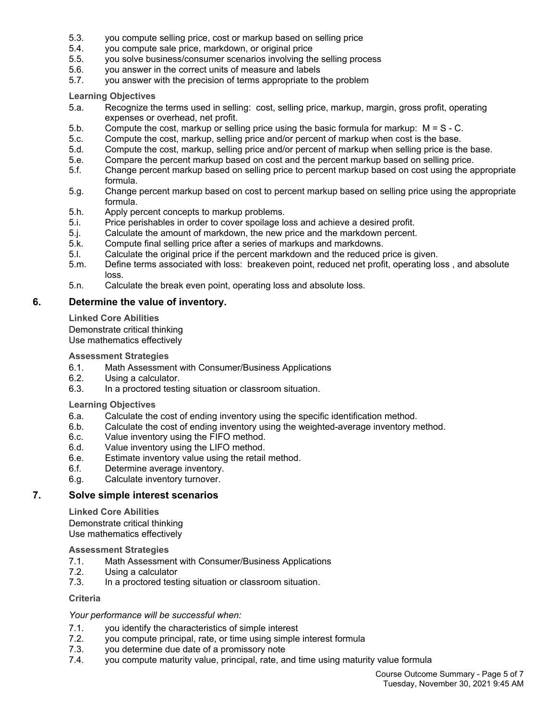- 5.3. you compute selling price, cost or markup based on selling price
- 5.4. you compute sale price, markdown, or original price
- 5.5. you solve business/consumer scenarios involving the selling process
- 5.6. you answer in the correct units of measure and labels
- 5.7. you answer with the precision of terms appropriate to the problem

**Learning Objectives**

- 5.a. Recognize the terms used in selling: cost, selling price, markup, margin, gross profit, operating expenses or overhead, net profit.
- 5.b. Compute the cost, markup or selling price using the basic formula for markup: M = S C.
- 5.c. Compute the cost, markup, selling price and/or percent of markup when cost is the base.
- 5.d. Compute the cost, markup, selling price and/or percent of markup when selling price is the base.
- 5.e. Compare the percent markup based on cost and the percent markup based on selling price.
- 5.f. Change percent markup based on selling price to percent markup based on cost using the appropriate formula.
- 5.g. Change percent markup based on cost to percent markup based on selling price using the appropriate formula.
- 5.h. Apply percent concepts to markup problems.
- 5.i. Price perishables in order to cover spoilage loss and achieve a desired profit.
- 5.j. Calculate the amount of markdown, the new price and the markdown percent.
- 5.k. Compute final selling price after a series of markups and markdowns.
- 5.l. Calculate the original price if the percent markdown and the reduced price is given.
- 5.m. Define terms associated with loss: breakeven point, reduced net profit, operating loss , and absolute loss.
- 5.n. Calculate the break even point, operating loss and absolute loss.

# **6. Determine the value of inventory.**

**Linked Core Abilities**

Demonstrate critical thinking Use mathematics effectively

#### **Assessment Strategies**

- 6.1. Math Assessment with Consumer/Business Applications
- 6.2. Using a calculator.
- 6.3. In a proctored testing situation or classroom situation.

#### **Learning Objectives**

- 6.a. Calculate the cost of ending inventory using the specific identification method.
- 6.b. Calculate the cost of ending inventory using the weighted-average inventory method.
- 6.c. Value inventory using the FIFO method.
- 6.d. Value inventory using the LIFO method.
- 6.e. Estimate inventory value using the retail method.
- 6.f. Determine average inventory.
- 6.g. Calculate inventory turnover.

# **7. Solve simple interest scenarios**

**Linked Core Abilities** Demonstrate critical thinking Use mathematics effectively

#### **Assessment Strategies**

- 7.1. Math Assessment with Consumer/Business Applications
- 7.2. Using a calculator
- 7.3. In a proctored testing situation or classroom situation.

# **Criteria**

#### *Your performance will be successful when:*

- 
- 7.1. you identify the characteristics of simple interest<br>7.2. vou compute principal, rate, or time using simple 7.2. you compute principal, rate, or time using simple interest formula
- 7.3. you determine due date of a promissory note
- 7.4. you compute maturity value, principal, rate, and time using maturity value formula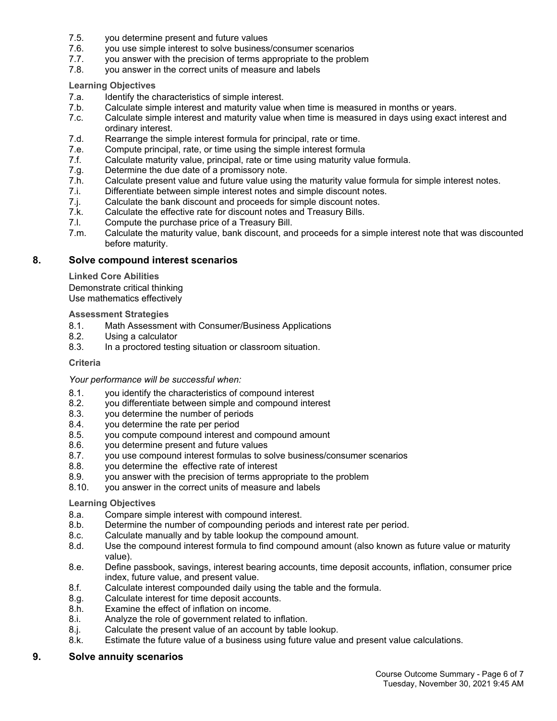- 7.5. you determine present and future values
- 7.6. you use simple interest to solve business/consumer scenarios
- 7.7. you answer with the precision of terms appropriate to the problem
- 7.8. you answer in the correct units of measure and labels

**Learning Objectives**

- 7.a. Identify the characteristics of simple interest.
- 7.b. Calculate simple interest and maturity value when time is measured in months or years.
- 7.c. Calculate simple interest and maturity value when time is measured in days using exact interest and ordinary interest.
- 7.d. Rearrange the simple interest formula for principal, rate or time.
- 7.e. Compute principal, rate, or time using the simple interest formula
- 7.f. Calculate maturity value, principal, rate or time using maturity value formula.
- 7.g. Determine the due date of a promissory note.
- 7.h. Calculate present value and future value using the maturity value formula for simple interest notes.
- 7.i. Differentiate between simple interest notes and simple discount notes.
- 7.j. Calculate the bank discount and proceeds for simple discount notes.
- 7.k. Calculate the effective rate for discount notes and Treasury Bills.
- 7.l. Compute the purchase price of a Treasury Bill.
- 7.m. Calculate the maturity value, bank discount, and proceeds for a simple interest note that was discounted before maturity.

#### **8. Solve compound interest scenarios**

**Linked Core Abilities**

Demonstrate critical thinking Use mathematics effectively

#### **Assessment Strategies**

- 8.1. Math Assessment with Consumer/Business Applications
- 8.2. Using a calculator
- 8.3. In a proctored testing situation or classroom situation.

#### **Criteria**

*Your performance will be successful when:*

- 8.1. you identify the characteristics of compound interest
- 8.2. you differentiate between simple and compound interest
- 8.3. you determine the number of periods
- 8.4. you determine the rate per period
- 8.5. you compute compound interest and compound amount
- 8.6. you determine present and future values<br>8.7. vou use compound interest formulas to se
- 8.7. you use compound interest formulas to solve business/consumer scenarios
- 8.8. you determine the effective rate of interest
- 8.9. you answer with the precision of terms appropriate to the problem
- 8.10. you answer in the correct units of measure and labels

#### **Learning Objectives**

- 8.a. Compare simple interest with compound interest.
- 8.b. Determine the number of compounding periods and interest rate per period.
- 8.c. Calculate manually and by table lookup the compound amount.
- 8.d. Use the compound interest formula to find compound amount (also known as future value or maturity value).
- 8.e. Define passbook, savings, interest bearing accounts, time deposit accounts, inflation, consumer price index, future value, and present value.
- 8.f. Calculate interest compounded daily using the table and the formula.
- 8.g. Calculate interest for time deposit accounts.
- 8.h. Examine the effect of inflation on income.
- 8.i. Analyze the role of government related to inflation.
- 8.j. Calculate the present value of an account by table lookup.
- 8.k. Estimate the future value of a business using future value and present value calculations.

# **9. Solve annuity scenarios**